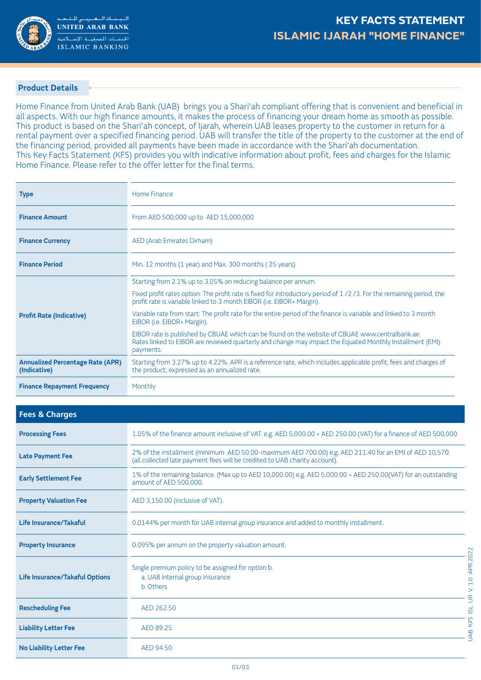

## **Product Details**

Home Finance from United Arab Bank (UAB) brings you a Shari'ah compliant offering that is convenient and beneficial in all aspects. With our high finance amounts, it makes the process of financing your dream home as smooth as possible. This product is based on the Shari'ah concept, of Ijarah, wherein UAB leases property to the customer in return for a rental payment over a specified financing period. UAB will transfer the title of the property to the customer at the end of the financing period, provided all payments have been made in accordance with the Shari'ah documentation. This Key Facts Statement (KFS) provides you with indicative information about profit, fees and charges for the Islamic Home Finance. Please refer to the offer letter for the final terms.

| <b>Type</b>                                             | Home Finance                                                                                                                                                                                                             |
|---------------------------------------------------------|--------------------------------------------------------------------------------------------------------------------------------------------------------------------------------------------------------------------------|
| <b>Finance Amount</b>                                   | From AED 500,000 up to AED 15,000,000                                                                                                                                                                                    |
| <b>Finance Currency</b>                                 | AED (Arab Emirates Dirham)                                                                                                                                                                                               |
| <b>Finance Period</b>                                   | Min. 12 months (1 year) and Max. 300 months (25 years)                                                                                                                                                                   |
|                                                         | Starting from 2.1% up to 3.05% on reducing balance per annum.                                                                                                                                                            |
|                                                         | Fixed profit rates option: The profit rate is fixed for introductory period of 1/2/3. For the remaining period, the<br>profit rate is variable linked to 3 month EIBOR (i.e. EIBOR+ Margin).                             |
| <b>Profit Rate (Indicative)</b>                         | Variable rate from start: The profit rate for the entire period of the finance is variable and linked to 3 month<br>EIBOR (i.e. EIBOR+ Margin).                                                                          |
|                                                         | EIBOR rate is published by CBUAE which can be found on the website of CBUAE www.centralbank.ae.<br>Rates linked to EIBOR are reviewed quarterly and change may impact the Equated Monthly Installment (EMI)<br>payments. |
| <b>Annualized Percentage Rate (APR)</b><br>(Indicative) | Starting from 3.27% up to 4.22%. APR is a reference rate, which includes applicable profit, fees and charges of<br>the product, expressed as an annualized rate.                                                         |
| <b>Finance Repayment Frequency</b>                      | Monthly                                                                                                                                                                                                                  |

| <b>Fees &amp; Charges</b>             |                                                                                                                                                                                      |
|---------------------------------------|--------------------------------------------------------------------------------------------------------------------------------------------------------------------------------------|
| <b>Processing Fees</b>                | 1.05% of the finance amount inclusive of VAT. e.g. AED 5,000.00 + AED 250.00 (VAT) for a finance of AED 500,000                                                                      |
| <b>Late Payment Fee</b>               | 2% of the installment (minimum AED 50.00-maximum AED 700.00) e.g. AED 211.40 for an EMI of AED 10,570.<br>(all collected late payment fees will be credited to UAB charity account). |
| <b>Early Settlement Fee</b>           | 1% of the remaining balance. (Max up to AED 10,000.00) e.g. AED 5,000.00 + AED 250.00(VAT) for an outstanding<br>amount of AED 500,000.                                              |
| <b>Property Valuation Fee</b>         | AED 3,150.00 (inclusive of VAT).                                                                                                                                                     |
| <b>Life Insurance/Takaful</b>         | 0.0144% per month for UAB internal group insurance and added to monthly installment.                                                                                                 |
| <b>Property Insurance</b>             | 0.095% per annum on the property valuation amount.                                                                                                                                   |
| <b>Life Insurance/Takaful Options</b> | Single premium policy to be assigned for option b.<br>a. UAB internal group insurance<br>b. Others                                                                                   |
| <b>Rescheduling Fee</b>               | AED 262.50                                                                                                                                                                           |
| <b>Liability Letter Fee</b>           | AED 89.25                                                                                                                                                                            |
| <b>No Liability Letter Fee</b>        | AED 94.50                                                                                                                                                                            |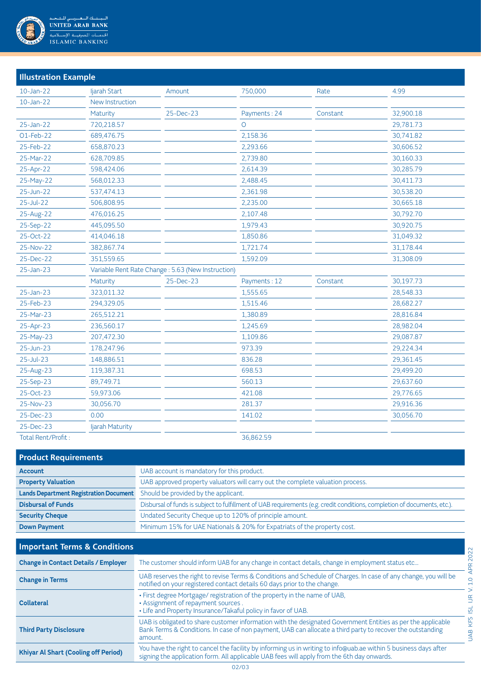

| <b>Illustration Example</b> |                                                   |           |              |          |           |  |  |
|-----------------------------|---------------------------------------------------|-----------|--------------|----------|-----------|--|--|
| $10$ -Jan-22                | ljarah Start                                      | Amount    | 750,000      | Rate     | 4.99      |  |  |
| $10 - Jan - 22$             | New Instruction                                   |           |              |          |           |  |  |
|                             | Maturity                                          | 25-Dec-23 | Payments: 24 | Constant | 32,900.18 |  |  |
| 25-Jan-22                   | 720,218.57                                        |           | $\circ$      |          | 29,781.73 |  |  |
| O1-Feb-22                   | 689,476.75                                        |           | 2,158.36     |          | 30,741.82 |  |  |
| 25-Feb-22                   | 658,870.23                                        |           | 2,293.66     |          | 30,606.52 |  |  |
| 25-Mar-22                   | 628,709.85                                        |           | 2,739.80     |          | 30,160.33 |  |  |
| 25-Apr-22                   | 598,424.06                                        |           | 2,614.39     |          | 30,285.79 |  |  |
| 25-May-22                   | 568,012.33                                        |           | 2,488.45     |          | 30,411.73 |  |  |
| 25-Jun-22                   | 537,474.13                                        |           | 2,361.98     |          | 30,538.20 |  |  |
| $25 -$ Jul-22               | 506,808.95                                        |           | 2,235.00     |          | 30,665.18 |  |  |
| 25-Aug-22                   | 476,016.25                                        |           | 2,107.48     |          | 30,792.70 |  |  |
| 25-Sep-22                   | 445,095.50                                        |           | 1,979.43     |          | 30,920.75 |  |  |
| 25-Oct-22                   | 414,046.18                                        |           | 1,850.86     |          | 31,049.32 |  |  |
| 25-Nov-22                   | 382,867.74                                        |           | 1,721.74     |          | 31,178.44 |  |  |
| 25-Dec-22                   | 351,559.65                                        |           | 1,592.09     |          | 31,308.09 |  |  |
| 25-Jan-23                   | Variable Rent Rate Change: 5.63 (New Instruction) |           |              |          |           |  |  |
|                             | Maturity                                          | 25-Dec-23 | Payments: 12 | Constant | 30,197.73 |  |  |
| 25-Jan-23                   | 323,011.32                                        |           | 1,555.65     |          | 28,548.33 |  |  |
| 25-Feb-23                   | 294,329.05                                        |           | 1,515.46     |          | 28,682.27 |  |  |
| 25-Mar-23                   | 265,512.21                                        |           | 1,380.89     |          | 28,816.84 |  |  |
| 25-Apr-23                   | 236,560.17                                        |           | 1,245.69     |          | 28,982.04 |  |  |
| 25-May-23                   | 207,472.30                                        |           | 1,109.86     |          | 29,087.87 |  |  |
| $25 - Jun-23$               | 178,247.96                                        |           | 973.39       |          | 29,224.34 |  |  |
| $25$ -Jul-23                | 148,886.51                                        |           | 836.28       |          | 29,361.45 |  |  |
| 25-Aug-23                   | 119,387.31                                        |           | 698.53       |          | 29,499.20 |  |  |
| 25-Sep-23                   | 89,749.71                                         |           | 560.13       |          | 29,637.60 |  |  |
| 25-Oct-23                   | 59,973.06                                         |           | 421.08       |          | 29,776.65 |  |  |
| 25-Nov-23                   | 30,056.70                                         |           | 281.37       |          | 29,916.36 |  |  |
| 25-Dec-23                   | 0.00                                              |           | 141.02       |          | 30,056.70 |  |  |
| 25-Dec-23                   | Ijarah Maturity                                   |           |              |          |           |  |  |
| Total Rent/Profit:          |                                                   |           | 36,862.59    |          |           |  |  |

**Product Requirements Account Account Account Account Account Account** is mandatory for this product. **Property Valuation** CJAB approved property valuators will carry out the complete valuation process. Lands Department Registration Document Should be provided by the applicant. **Disbursal of Funds Exercise Screen Screen Associates** Disbursal of funds is subject to fulfillment of UAB requirements (e.g. credit conditions, completion of documents, etc.). **Security Cheque Cheque Cheque Security Undated Security Cheque up to 120% of principle amount. Down Payment** Minimum 15% for UAE Nationals & 20% for Expatriats of the property cost.

| <b>Important Terms &amp; Conditions</b>     |                                                                                                                                                                                                                                       |
|---------------------------------------------|---------------------------------------------------------------------------------------------------------------------------------------------------------------------------------------------------------------------------------------|
| <b>Change in Contact Details / Employer</b> | The customer should inform UAB for any change in contact details, change in employment status etc                                                                                                                                     |
| <b>Change in Terms</b>                      | UAB reserves the right to revise Terms & Conditions and Schedule of Charges. In case of any change, you will be<br>notified on your registered contact details 60 days prior to the change.                                           |
| <b>Collateral</b>                           | . First degree Mortgage/ registration of the property in the name of UAB,<br>. Assignment of repayment sources.<br>• Life and Property Insurance/Takaful policy in favor of UAB.                                                      |
| <b>Third Party Disclosure</b>               | UAB is obligated to share customer information with the designated Government Entities as per the applicable<br>Bank Terms & Conditions. In case of non payment, UAB can allocate a third party to recover the outstanding<br>amount. |
| <b>Khiyar Al Shart (Cooling off Period)</b> | You have the right to cancel the facility by informing us in writing to info@uab.ae within 5 business days after<br>signing the application form. All applicable UAB fees will apply from the 6th day onwards.                        |